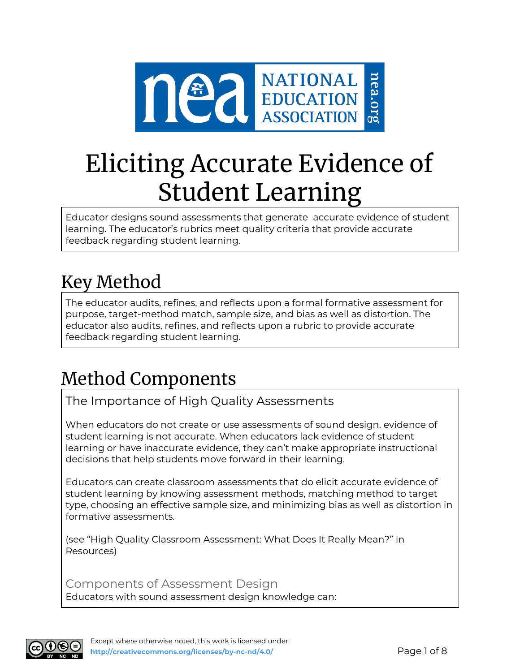

# Eliciting Accurate Evidence of Student Learning

Educator designs sound assessments that generate accurate evidence of student learning. The educator's rubrics meet quality criteria that provide accurate feedback regarding student learning.

# Key Method

The educator audits, refines, and reflects upon a formal formative assessment for purpose, target-method match, sample size, and bias as well as distortion. The educator also audits, refines, and reflects upon a rubric to provide accurate feedback regarding student learning.

# Method Components

The Importance of High Quality Assessments

When educators do not create or use assessments of sound design, evidence of student learning is not accurate. When educators lack evidence of student learning or have inaccurate evidence, they can't make appropriate instructional decisions that help students move forward in their learning.

Educators can create classroom assessments that do elicit accurate evidence of student learning by knowing assessment methods, matching method to target type, choosing an effective sample size, and minimizing bias as well as distortion in formative assessments.

(see "High Quality Classroom Assessment: What Does It Really Mean?" in Resources)

Components of Assessment Design Educators with sound assessment design knowledge can:

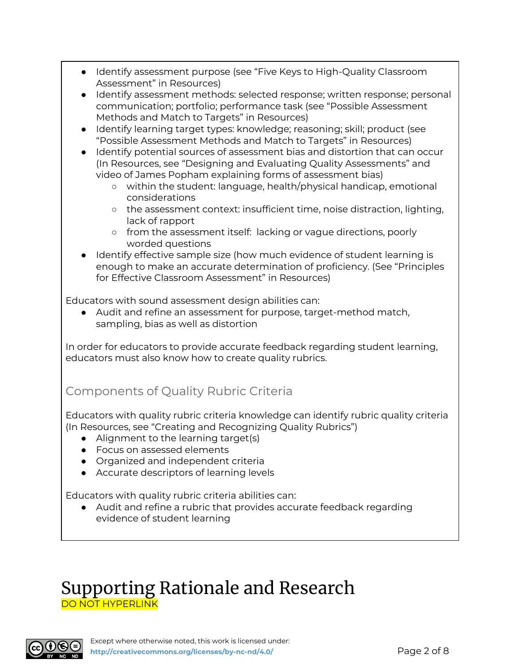- Identify assessment purpose (see "Five Keys to High-Quality Classroom Assessment" in Resources)
- Identify assessment methods: selected response; written response; personal communication; portfolio; performance task (see "Possible Assessment Methods and Match to Targets" in Resources)
- Identify learning target types: knowledge; reasoning; skill; product (see "Possible Assessment Methods and Match to Targets" in Resources)
- Identify potential sources of assessment bias and distortion that can occur (In Resources, see "Designing and Evaluating Quality Assessments" and video of James Popham explaining forms of assessment bias)
	- within the student: language, health/physical handicap, emotional considerations
	- the assessment context: insufficient time, noise distraction, lighting, lack of rapport
	- from the assessment itself: lacking or vague directions, poorly worded questions
- Identify effective sample size (how much evidence of student learning is enough to make an accurate determination of proficiency. (See "Principles for Effective Classroom Assessment" in Resources)

Educators with sound assessment design abilities can:

● Audit and refine an assessment for purpose, target-method match, sampling, bias as well as distortion

In order for educators to provide accurate feedback regarding student learning, educators must also know how to create quality rubrics.

# Components of Quality Rubric Criteria

Educators with quality rubric criteria knowledge can identify rubric quality criteria (In Resources, see "Creating and Recognizing Quality Rubrics")

- Alignment to the learning target(s)
- Focus on assessed elements
- Organized and independent criteria
- Accurate descriptors of learning levels

Educators with quality rubric criteria abilities can:

● Audit and refine a rubric that provides accurate feedback regarding evidence of student learning

# Supporting Rationale and Research DO NOT HYPERLINK

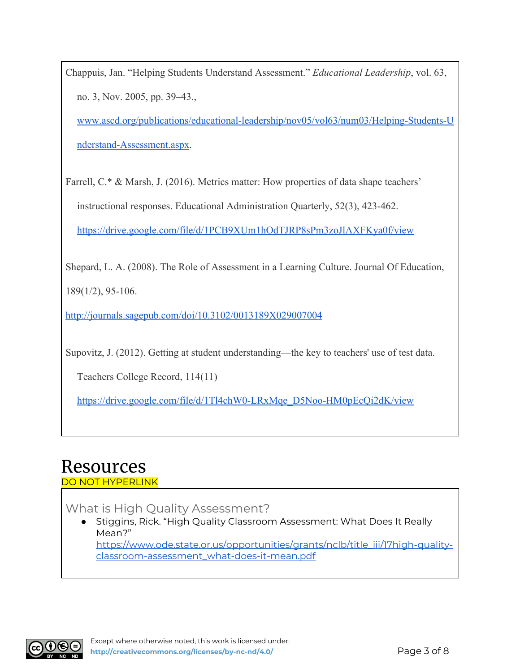Chappuis, Jan. "Helping Students Understand Assessment." *Educational Leadership*, vol. 63, no. 3, Nov. 2005, pp. 39–43.,

[www.ascd.org/publications/educational-leadership/nov05/vol63/num03/Helping-Students-U](http://www.ascd.org/publications/educational-leadership/nov05/vol63/num03/Helping-Students-Understand-Assessment.aspx) [nderstand-Assessment.aspx](http://www.ascd.org/publications/educational-leadership/nov05/vol63/num03/Helping-Students-Understand-Assessment.aspx).

Farrell, C.\* & Marsh, J. (2016). Metrics matter: How properties of data shape teachers' instructional responses. Educational Administration Quarterly, 52(3), 423-462. <https://drive.google.com/file/d/1PCB9XUm1hOdTJRP8sPm3zoJlAXFKya0f/view>

Shepard, L. A. (2008). The Role of Assessment in a Learning Culture. Journal Of Education, 189(1/2), 95-106.

<http://journals.sagepub.com/doi/10.3102/0013189X029007004>

Supovitz, J. (2012). Getting at student understanding—the key to teachers' use of test data.

Teachers College Record, 114(11)

[https://drive.google.com/file/d/1Tl4chW0-LRxMqe\\_D5Noo-HM0pEcQi2dK/view](https://drive.google.com/file/d/1Tl4chW0-LRxMqe_D5Noo-HM0pEcQi2dK/view)

# Resources

#### DO NOT HYPERLINK

What is High Quality Assessment?

*●* Stiggins, Rick. "High Quality Classroom Assessment: What Does It Really Mean?"

[https://www.ode.state.or.us/opportunities/grants/nclb/title\\_iii/17high-quality](https://www.ode.state.or.us/opportunities/grants/nclb/title_iii/17high-quality-classroom-assessment_what-does-it-mean.pdf)[classroom-assessment\\_what-does-it-mean.pdf](https://www.ode.state.or.us/opportunities/grants/nclb/title_iii/17high-quality-classroom-assessment_what-does-it-mean.pdf)

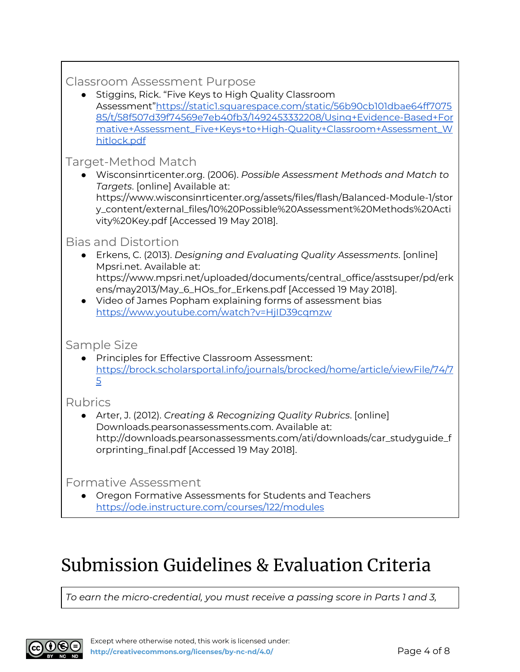# Classroom Assessment Purpose

● Stiggins, Rick. "Five Keys to High Quality Classroom Assessment"[https://static1.squarespace.com/static/56b90cb101dbae64ff7075](https://static1.squarespace.com/static/56b90cb101dbae64ff707585/t/58f507d39f74569e7eb40fb3/1492453332208/Using+Evidence-Based+Formative+Assessment_Five+Keys+to+High-Quality+Classroom+Assessment_Whitlock.pdf) [85/t/58f507d39f74569e7eb40fb3/1492453332208/Using+Evidence-Based+For](https://static1.squarespace.com/static/56b90cb101dbae64ff707585/t/58f507d39f74569e7eb40fb3/1492453332208/Using+Evidence-Based+Formative+Assessment_Five+Keys+to+High-Quality+Classroom+Assessment_Whitlock.pdf) [mative+Assessment\\_Five+Keys+to+High-Quality+Classroom+Assessment\\_W](https://static1.squarespace.com/static/56b90cb101dbae64ff707585/t/58f507d39f74569e7eb40fb3/1492453332208/Using+Evidence-Based+Formative+Assessment_Five+Keys+to+High-Quality+Classroom+Assessment_Whitlock.pdf) [hitlock.pdf](https://static1.squarespace.com/static/56b90cb101dbae64ff707585/t/58f507d39f74569e7eb40fb3/1492453332208/Using+Evidence-Based+Formative+Assessment_Five+Keys+to+High-Quality+Classroom+Assessment_Whitlock.pdf)

# Target-Method Match

● Wisconsinrticenter.org. (2006). *Possible Assessment Methods and Match to Targets*. [online] Available at: https://www.wisconsinrticenter.org/assets/files/flash/Balanced-Module-1/stor y\_content/external\_files/10%20Possible%20Assessment%20Methods%20Acti vity%20Key.pdf [Accessed 19 May 2018].

### Bias and Distortion

- Erkens, C. (2013). *Designing and Evaluating Quality Assessments*. [online] Mpsri.net. Available at:
- https://www.mpsri.net/uploaded/documents/central\_office/asstsuper/pd/erk ens/may2013/May\_6\_HOs\_for\_Erkens.pdf [Accessed 19 May 2018].
- Video of James Popham explaining forms of assessment bias <https://www.youtube.com/watch?v=HjID39cqmzw>

### Sample Size

● Principles for Effective Classroom Assessment: [https://brock.scholarsportal.info/journals/brocked/home/article/viewFile/74/7](https://brock.scholarsportal.info/journals/brocked/home/article/viewFile/74/75) [5](https://brock.scholarsportal.info/journals/brocked/home/article/viewFile/74/75)

# Rubrics

● Arter, J. (2012). *Creating & Recognizing Quality Rubrics*. [online] Downloads.pearsonassessments.com. Available at: http://downloads.pearsonassessments.com/ati/downloads/car\_studyguide\_f orprinting\_final.pdf [Accessed 19 May 2018].

Formative Assessment

● Oregon Formative Assessments for Students and Teachers <https://ode.instructure.com/courses/122/modules>

# Submission Guidelines & Evaluation Criteria

*To earn the micro-credential, you must receive a passing score in Parts 1 and 3,*

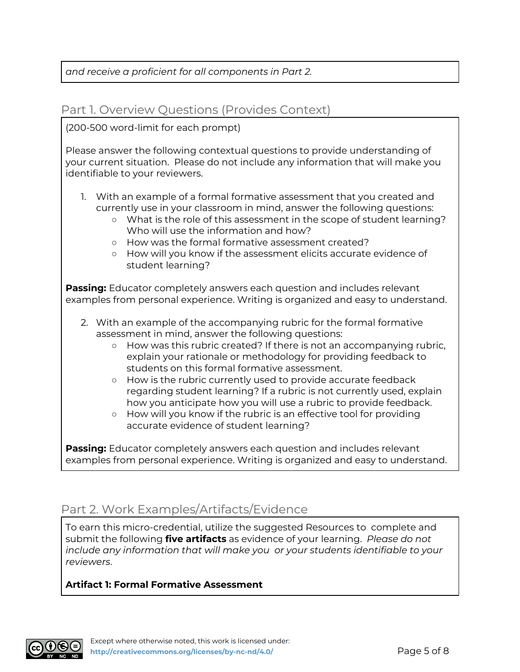#### *and receive a proficient for all components in Part 2.*

#### Part 1. Overview Questions (Provides Context)

#### (200-500 word-limit for each prompt)

Please answer the following contextual questions to provide understanding of your current situation. Please do not include any information that will make you identifiable to your reviewers.

- 1. With an example of a formal formative assessment that you created and currently use in your classroom in mind, answer the following questions:
	- What is the role of this assessment in the scope of student learning? Who will use the information and how?
	- How was the formal formative assessment created?
	- How will you know if the assessment elicits accurate evidence of student learning?

**Passing:** Educator completely answers each question and includes relevant examples from personal experience. Writing is organized and easy to understand.

- 2. With an example of the accompanying rubric for the formal formative assessment in mind, answer the following questions:
	- How was this rubric created? If there is not an accompanying rubric, explain your rationale or methodology for providing feedback to students on this formal formative assessment.
	- How is the rubric currently used to provide accurate feedback regarding student learning? If a rubric is not currently used, explain how you anticipate how you will use a rubric to provide feedback.
	- How will you know if the rubric is an effective tool for providing accurate evidence of student learning?

**Passing:** Educator completely answers each question and includes relevant examples from personal experience. Writing is organized and easy to understand.

# Part 2. Work Examples/Artifacts/Evidence

To earn this micro-credential, utilize the suggested Resources to complete and submit the following **five artifacts** as evidence of your learning. *Please do not include any information that will make you or your students identifiable to your reviewers*.

#### **Artifact 1: Formal Formative Assessment**

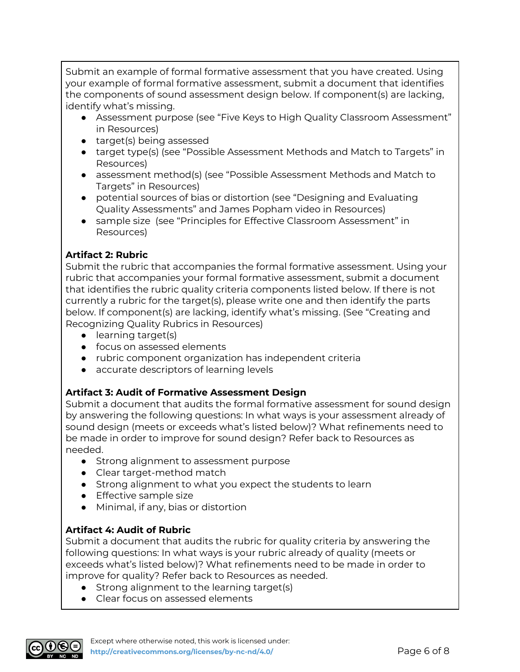Submit an example of formal formative assessment that you have created. Using your example of formal formative assessment, submit a document that identifies the components of sound assessment design below. If component(s) are lacking, identify what's missing.

- Assessment purpose (see "Five Keys to High Quality Classroom Assessment" in Resources)
- target(s) being assessed
- target type(s) (see "Possible Assessment Methods and Match to Targets" in Resources)
- assessment method(s) (see "Possible Assessment Methods and Match to Targets" in Resources)
- potential sources of bias or distortion (see "Designing and Evaluating Quality Assessments" and James Popham video in Resources)
- sample size (see "Principles for Effective Classroom Assessment" in Resources)

#### **Artifact 2: Rubric**

Submit the rubric that accompanies the formal formative assessment. Using your rubric that accompanies your formal formative assessment, submit a document that identifies the rubric quality criteria components listed below. If there is not currently a rubric for the target(s), please write one and then identify the parts below. If component(s) are lacking, identify what's missing. (See "Creating and Recognizing Quality Rubrics in Resources)

- learning target(s)
- focus on assessed elements
- rubric component organization has independent criteria
- accurate descriptors of learning levels

#### **Artifact 3: Audit of Formative Assessment Design**

Submit a document that audits the formal formative assessment for sound design by answering the following questions: In what ways is your assessment already of sound design (meets or exceeds what's listed below)? What refinements need to be made in order to improve for sound design? Refer back to Resources as needed.

- Strong alignment to assessment purpose
- Clear target-method match
- Strong alignment to what you expect the students to learn
- Effective sample size
- Minimal, if any, bias or distortion

#### **Artifact 4: Audit of Rubric**

Submit a document that audits the rubric for quality criteria by answering the following questions: In what ways is your rubric already of quality (meets or exceeds what's listed below)? What refinements need to be made in order to improve for quality? Refer back to Resources as needed.

- Strong alignment to the learning target(s)
- Clear focus on assessed elements

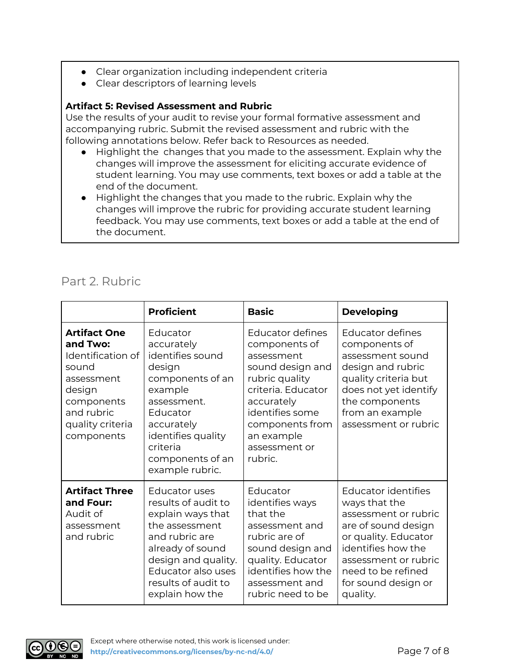- Clear organization including independent criteria
- Clear descriptors of learning levels

#### **Artifact 5: Revised Assessment and Rubric**

Use the results of your audit to revise your formal formative assessment and accompanying rubric. Submit the revised assessment and rubric with the following annotations below. Refer back to Resources as needed.

- Highlight the changes that you made to the assessment. Explain why the changes will improve the assessment for eliciting accurate evidence of student learning. You may use comments, text boxes or add a table at the end of the document.
- Highlight the changes that you made to the rubric. Explain why the changes will improve the rubric for providing accurate student learning feedback. You may use comments, text boxes or add a table at the end of the document.

### Part 2. Rubric

|                                                                                                                                                     | <b>Proficient</b>                                                                                                                                                                                               | <b>Basic</b>                                                                                                                                                                                              | <b>Developing</b>                                                                                                                                                                                                         |
|-----------------------------------------------------------------------------------------------------------------------------------------------------|-----------------------------------------------------------------------------------------------------------------------------------------------------------------------------------------------------------------|-----------------------------------------------------------------------------------------------------------------------------------------------------------------------------------------------------------|---------------------------------------------------------------------------------------------------------------------------------------------------------------------------------------------------------------------------|
| <b>Artifact One</b><br>and Two:<br>Identification of<br>sound<br>assessment<br>design<br>components<br>and rubric<br>quality criteria<br>components | Educator<br>accurately<br>identifies sound<br>design<br>components of an<br>example<br>assessment.<br>Educator<br>accurately<br>identifies quality<br>criteria<br>components of an<br>example rubric.           | Educator defines<br>components of<br>assessment<br>sound design and<br>rubric quality<br>criteria. Educator<br>accurately<br>identifies some<br>components from<br>an example<br>assessment or<br>rubric. | <b>Educator defines</b><br>components of<br>assessment sound<br>design and rubric<br>quality criteria but<br>does not yet identify<br>the components<br>from an example<br>assessment or rubric                           |
| <b>Artifact Three</b><br>and Four:<br>Audit of<br>assessment<br>and rubric                                                                          | <b>Educator uses</b><br>results of audit to<br>explain ways that<br>the assessment<br>and rubric are<br>already of sound<br>design and quality.<br>Educator also uses<br>results of audit to<br>explain how the | Educator<br>identifies ways<br>that the<br>assessment and<br>rubric are of<br>sound design and<br>quality. Educator<br>identifies how the<br>assessment and<br>rubric need to be                          | <b>Educator identifies</b><br>ways that the<br>assessment or rubric<br>are of sound design<br>or quality. Educator<br>identifies how the<br>assessment or rubric<br>need to be refined<br>for sound design or<br>quality. |